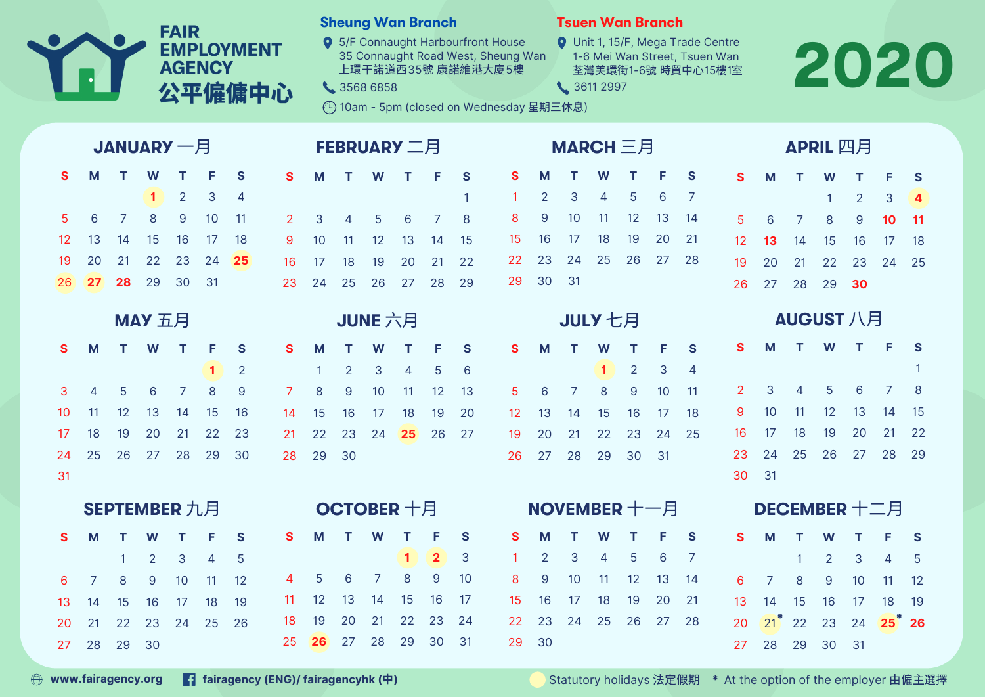|              |                   |                |           | <b>FAIR</b>    | <b>AGENCY</b> | <b>EMPLOYMENT</b><br>公平僱傭中心 |                    |                 | <b>Sheung Wan Branch</b><br>3568 6858 |                |                |                        |          | 9 5/F Connaught Harbourfront House<br>35 Connaught Road West, Sheung Wan<br>上環干諾道西35號 康諾維港大廈5樓<br>◯ 10am - 5pm (closed on Wednesday 星期三休息) |                | 3611 2997 |                | <b>Tsuen Wan Branch</b> |          |                | <b>Q</b> Unit 1, 15/F, Mega Trade Centre<br>1-6 Mei Wan Street, Tsuen Wan<br>荃灣美環街1-6號 時貿中心15樓1室 |                    |    |    |                |                              | 2020              |
|--------------|-------------------|----------------|-----------|----------------|---------------|-----------------------------|--------------------|-----------------|---------------------------------------|----------------|----------------|------------------------|----------|--------------------------------------------------------------------------------------------------------------------------------------------|----------------|-----------|----------------|-------------------------|----------|----------------|--------------------------------------------------------------------------------------------------|--------------------|----|----|----------------|------------------------------|-------------------|
|              | <b>JANUARY 一月</b> |                |           |                |               |                             | <b>FEBRUARY 二月</b> |                 |                                       |                |                |                        |          | MARCH 三月                                                                                                                                   |                |           |                |                         | APRIL 四月 |                |                                                                                                  |                    |    |    |                |                              |                   |
| $\mathbf{s}$ | M                 |                | W         |                | F             | S                           | <sub>S</sub>       | M               |                                       | W              |                | F                      | S        | S                                                                                                                                          | M              |           | W              |                         | F        | S              | <b>S</b>                                                                                         | M                  |    | W  |                | F                            | <b>S</b>          |
|              |                   |                | 1         | $\overline{2}$ | 3             | $\overline{4}$              |                    |                 |                                       |                |                |                        | 1        |                                                                                                                                            | $\overline{2}$ | 3         | 4              | 5                       | 6        | 7              |                                                                                                  |                    |    |    | $\overline{2}$ | 3                            | $\boldsymbol{4}$  |
| 5            | 6                 | 7              | 8         | 9              | 10            | 11                          | $\overline{2}$     | 3               | $\overline{4}$                        | 5              | 6              | 7                      | 8        | 8                                                                                                                                          | 9              | 10        | 11             | 12                      | 13       | 14             | 5                                                                                                | 6                  | 7  | 8  | 9              | 10 <sub>o</sub>              | 11                |
| 12           | 13                | 14             | 15        | 16             | 17            | 18                          | 9                  | 10              | 11                                    | 12             | 13             | 14                     | 15       | 15                                                                                                                                         | 16             | 17        | 18             | 19                      | 20       | 21             | 12                                                                                               | 13                 | 14 | 15 | 16             | 17                           | 18                |
| 19           | 20                | 21             | 22        | 23             | 24            | 25                          | 16                 | 17              | 18                                    | 19             | 20             | 21                     | 22       | 22                                                                                                                                         | 23             | 24        | 25             | 26                      | 27       | 28             | 19                                                                                               | 20                 | 21 | 22 | 23             | 24                           | 25                |
| 26           | 27                | 28             | 29        | 30             | 31            |                             | 23                 | 24              | 25                                    | 26             | 27             | 28                     | 29       | 29                                                                                                                                         | 30             | 31        |                |                         |          |                | 26                                                                                               | 27                 | 28 | 29 | 30             |                              |                   |
|              | MAY 五月            |                |           |                |               |                             |                    | JUNE 六月         |                                       |                |                |                        |          | JULY 七月                                                                                                                                    |                |           |                | <b>AUGUST 八月</b>        |          |                |                                                                                                  |                    |    |    |                |                              |                   |
| S            | M                 |                | W         |                | F             | S                           | <b>S</b>           | M               |                                       | W              |                |                        | <b>S</b> | S                                                                                                                                          | M              |           | W              |                         | F        | S              | S                                                                                                | м                  |    | W  |                | F                            | S                 |
|              |                   |                |           |                | 1             | $\overline{2}$              |                    |                 | 2                                     | 3              | 4              | 5                      | 6        |                                                                                                                                            |                |           |                | $\overline{2}$          | 3        | $\overline{4}$ |                                                                                                  |                    |    |    |                |                              | -1                |
| 3            | 4                 | 5              | 6         |                | 8             | $\overline{9}$              | 7                  | 8               | $\overline{9}$                        | 10             | 11             | 12                     | 13       | 5                                                                                                                                          | 6              | 7         | 8              | $\overline{9}$          | 10       | 11             | $\mathbf{2}$                                                                                     | 3                  | 4  | 5  | 6              | 7                            | 8                 |
| 10           | -11               | 12             | 13        | 14             | 15            | 16                          | 14                 | 15              | 16                                    | 17             | 18             | 19                     | 20       | 12                                                                                                                                         | 13             | 14        | 15             | 16                      | 17       | 18             | 9                                                                                                | 10                 | 11 | 12 | 13             | 14                           | 15                |
| 17           | 18                | 19             | 20        | 21             | 22            | 23                          | 21                 | 22              | 23                                    | 24             | 25             | 26                     | 27       | 19                                                                                                                                         | 20             | 21        | 22             | 23                      | 24       | 25             | 16                                                                                               | 17                 | 18 | 19 | 20             | 21                           | 22                |
| 24           | 25                | 26             | 27        | 28             | 29            | 30                          | 28                 | 29              | 30                                    |                |                |                        |          | 26                                                                                                                                         | 27             | 28        | 29             | 30                      | 31       |                | 23                                                                                               | 24                 | 25 | 26 | 27             | 28                           | 29                |
| 31           |                   |                |           |                |               |                             |                    |                 |                                       |                |                |                        |          |                                                                                                                                            |                |           |                |                         |          |                | 30                                                                                               | 31                 |    |    |                |                              |                   |
|              | SEPTEMBER 九月      |                |           |                |               | OCTOBER 十月                  |                    |                 |                                       |                |                | <b>NOVEMBER</b> $+-$ 月 |          |                                                                                                                                            |                |           | DECEMBER 十二月   |                         |          |                |                                                                                                  |                    |    |    |                |                              |                   |
| S.           |                   |                | M T W T F |                |               | <b>S</b>                    | S.                 |                 | M T W T F                             |                |                |                        | S.       |                                                                                                                                            |                |           |                | S M T W T F             |          | S.             |                                                                                                  |                    |    |    |                | S M T W T F                  | S.                |
|              |                   | $\mathbf{1}$   | 2         | 3              |               | 5                           |                    |                 |                                       |                |                | $\mathbf{2}$           | 3        |                                                                                                                                            | $\overline{2}$ | 3         | $\overline{4}$ | 5                       | 6        | 7              |                                                                                                  |                    |    | 2  | 3              |                              |                   |
|              | 6 7               | 8              | 9         | 10             | 11            | 12                          | $\overline{4}$     | $5\overline{)}$ | 6                                     | $\overline{7}$ | 8              | 9                      | 10       | 8                                                                                                                                          | 9              | 10        |                | $11 \quad 12$           | 13       | 14             | $6^{\circ}$                                                                                      | $\overline{7}$     | 8  | 9  | 10             | 11                           | $12 \overline{ }$ |
| 13 14        |                   | 15             | 16        | 17             | 18            | 19                          |                    | $11 \t 12$      | 13                                    | 14             | 15             | 16                     | 17       |                                                                                                                                            | 15 16          | 17        | 18             | 19                      | 20       | 21             |                                                                                                  | 13 14 15           |    | 16 | 17             | 18                           | 19                |
| 20           | 21                | 22             |           |                | 23 24 25 26   |                             | 18                 | 19              | 20                                    |                | 21  22  23  24 |                        |          |                                                                                                                                            |                |           |                | 22 23 24 25 26 27 28    |          |                |                                                                                                  |                    |    |    |                | 20 $21^*$ 22 23 24 $25^*$ 26 |                   |
|              |                   | 27  28  29  30 |           |                |               |                             |                    |                 | 25 26 27 28 29 30 31                  |                |                |                        |          |                                                                                                                                            | 29 30          |           |                |                         |          |                |                                                                                                  | 27  28  29  30  31 |    |    |                |                              |                   |